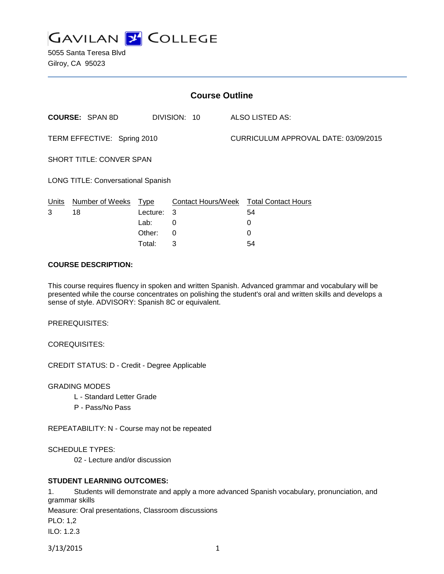

5055 Santa Teresa Blvd Gilroy, CA 95023

| <b>Course Outline</b>                     |                        |          |                    |  |                                      |  |
|-------------------------------------------|------------------------|----------|--------------------|--|--------------------------------------|--|
|                                           | <b>COURSE: SPAN 8D</b> |          | DIVISION: 10       |  | ALSO LISTED AS:                      |  |
| TERM EFFECTIVE: Spring 2010               |                        |          |                    |  | CURRICULUM APPROVAL DATE: 03/09/2015 |  |
| <b>SHORT TITLE: CONVER SPAN</b>           |                        |          |                    |  |                                      |  |
| <b>LONG TITLE: Conversational Spanish</b> |                        |          |                    |  |                                      |  |
| Units                                     | Number of Weeks        | Type     | Contact Hours/Week |  | <b>Total Contact Hours</b>           |  |
| 3                                         | 18                     | Lecture: | 3                  |  | 54                                   |  |
|                                           |                        | Lab:     | 0                  |  | 0                                    |  |
|                                           |                        | Other:   | 0                  |  | 0                                    |  |

#### **COURSE DESCRIPTION:**

This course requires fluency in spoken and written Spanish. Advanced grammar and vocabulary will be presented while the course concentrates on polishing the student's oral and written skills and develops a sense of style. ADVISORY: Spanish 8C or equivalent.

Total: 3 54

PREREQUISITES:

COREQUISITES:

CREDIT STATUS: D - Credit - Degree Applicable

GRADING MODES

- L Standard Letter Grade
- P Pass/No Pass

REPEATABILITY: N - Course may not be repeated

SCHEDULE TYPES:

02 - Lecture and/or discussion

#### **STUDENT LEARNING OUTCOMES:**

1. Students will demonstrate and apply a more advanced Spanish vocabulary, pronunciation, and grammar skills

Measure: Oral presentations, Classroom discussions

PLO: 1,2

ILO: 1.2.3

3/13/2015 1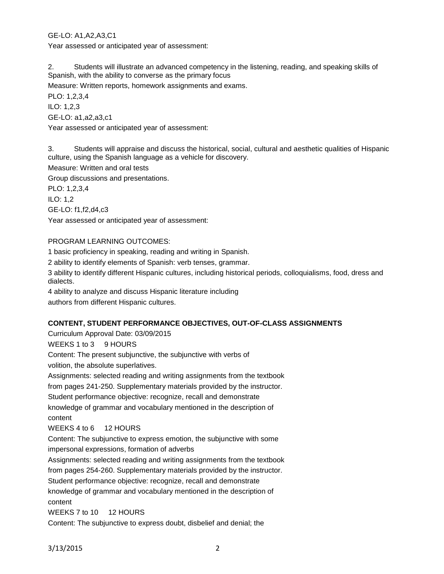GE-LO: A1,A2,A3,C1

Year assessed or anticipated year of assessment:

2. Students will illustrate an advanced competency in the listening, reading, and speaking skills of Spanish, with the ability to converse as the primary focus

Measure: Written reports, homework assignments and exams.

PLO: 1,2,3,4

ILO: 1,2,3

GE-LO: a1,a2,a3,c1

Year assessed or anticipated year of assessment:

3. Students will appraise and discuss the historical, social, cultural and aesthetic qualities of Hispanic culture, using the Spanish language as a vehicle for discovery.

Measure: Written and oral tests

Group discussions and presentations.

PLO: 1,2,3,4 ILO: 1,2

GE-LO: f1,f2,d4,c3

Year assessed or anticipated year of assessment:

## PROGRAM LEARNING OUTCOMES:

1 basic proficiency in speaking, reading and writing in Spanish.

2 ability to identify elements of Spanish: verb tenses, grammar.

3 ability to identify different Hispanic cultures, including historical periods, colloquialisms, food, dress and dialects.

4 ability to analyze and discuss Hispanic literature including

authors from different Hispanic cultures.

## **CONTENT, STUDENT PERFORMANCE OBJECTIVES, OUT-OF-CLASS ASSIGNMENTS**

Curriculum Approval Date: 03/09/2015

WEEKS 1 to 3 9 HOURS

Content: The present subjunctive, the subjunctive with verbs of

volition, the absolute superlatives.

Assignments: selected reading and writing assignments from the textbook

from pages 241-250. Supplementary materials provided by the instructor.

Student performance objective: recognize, recall and demonstrate

knowledge of grammar and vocabulary mentioned in the description of content

WEEKS 4 to 6 12 HOURS

Content: The subjunctive to express emotion, the subjunctive with some impersonal expressions, formation of adverbs

Assignments: selected reading and writing assignments from the textbook from pages 254-260. Supplementary materials provided by the instructor.

Student performance objective: recognize, recall and demonstrate

knowledge of grammar and vocabulary mentioned in the description of content

WEEKS 7 to 10 12 HOURS

Content: The subjunctive to express doubt, disbelief and denial; the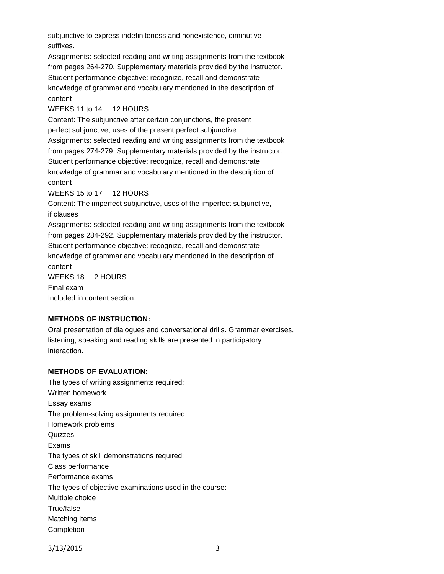subjunctive to express indefiniteness and nonexistence, diminutive suffixes.

Assignments: selected reading and writing assignments from the textbook from pages 264-270. Supplementary materials provided by the instructor. Student performance objective: recognize, recall and demonstrate knowledge of grammar and vocabulary mentioned in the description of content

### WEEKS 11 to 14 12 HOURS

Content: The subjunctive after certain conjunctions, the present perfect subjunctive, uses of the present perfect subjunctive Assignments: selected reading and writing assignments from the textbook from pages 274-279. Supplementary materials provided by the instructor. Student performance objective: recognize, recall and demonstrate knowledge of grammar and vocabulary mentioned in the description of content

WEEKS 15 to 17 12 HOURS

Content: The imperfect subjunctive, uses of the imperfect subjunctive, if clauses

Assignments: selected reading and writing assignments from the textbook from pages 284-292. Supplementary materials provided by the instructor. Student performance objective: recognize, recall and demonstrate knowledge of grammar and vocabulary mentioned in the description of content WEEKS 18 2 HOURS Final exam

Included in content section.

# **METHODS OF INSTRUCTION:**

Oral presentation of dialogues and conversational drills. Grammar exercises, listening, speaking and reading skills are presented in participatory interaction.

## **METHODS OF EVALUATION:**

The types of writing assignments required: Written homework Essay exams The problem-solving assignments required: Homework problems Quizzes Exams The types of skill demonstrations required: Class performance Performance exams The types of objective examinations used in the course: Multiple choice True/false Matching items Completion

3/13/2015 3